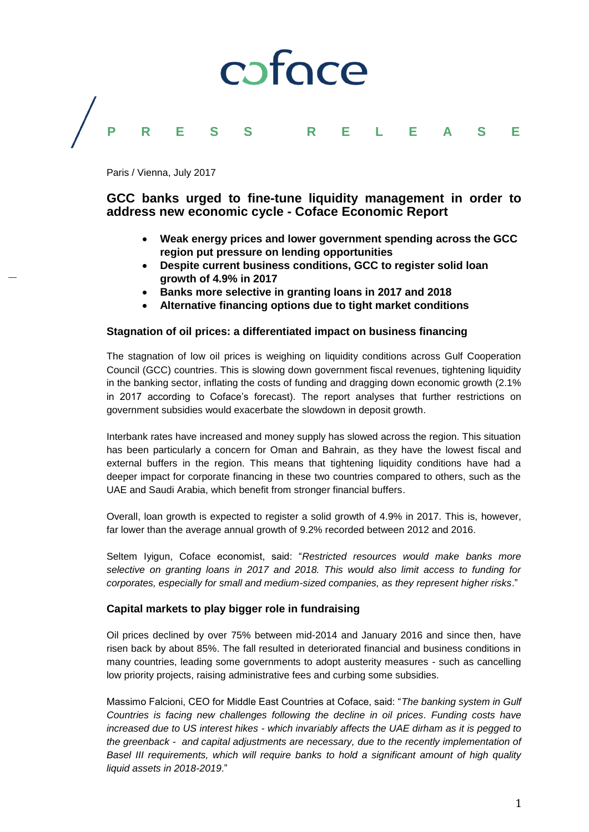# coface **P R E S S R E L E A S E**

Paris / Vienna, July 2017

### **GCC banks urged to fine-tune liquidity management in order to address new economic cycle - Coface Economic Report**

- **Weak energy prices and lower government spending across the GCC region put pressure on lending opportunities**
- **Despite current business conditions, GCC to register solid loan growth of 4.9% in 2017**
- **Banks more selective in granting loans in 2017 and 2018**
- **Alternative financing options due to tight market conditions**

#### **Stagnation of oil prices: a differentiated impact on business financing**

The stagnation of low oil prices is weighing on liquidity conditions across Gulf Cooperation Council (GCC) countries. This is slowing down government fiscal revenues, tightening liquidity in the banking sector, inflating the costs of funding and dragging down economic growth (2.1% in 2017 according to Coface's forecast). The report analyses that further restrictions on government subsidies would exacerbate the slowdown in deposit growth.

Interbank rates have increased and money supply has slowed across the region. This situation has been particularly a concern for Oman and Bahrain, as they have the lowest fiscal and external buffers in the region. This means that tightening liquidity conditions have had a deeper impact for corporate financing in these two countries compared to others, such as the UAE and Saudi Arabia, which benefit from stronger financial buffers.

Overall, loan growth is expected to register a solid growth of 4.9% in 2017. This is, however, far lower than the average annual growth of 9.2% recorded between 2012 and 2016.

Seltem Iyigun, Coface economist, said: "*Restricted resources would make banks more selective on granting loans in 2017 and 2018. This would also limit access to funding for corporates, especially for small and medium-sized companies, as they represent higher risks*."

#### **Capital markets to play bigger role in fundraising**

Oil prices declined by over 75% between mid-2014 and January 2016 and since then, have risen back by about 85%. The fall resulted in deteriorated financial and business conditions in many countries, leading some governments to adopt austerity measures - such as cancelling low priority projects, raising administrative fees and curbing some subsidies.

Massimo Falcioni, CEO for Middle East Countries at Coface, said: "*The banking system in Gulf Countries is facing new challenges following the decline in oil prices. Funding costs have increased due to US interest hikes - which invariably affects the UAE dirham as it is pegged to the greenback - and capital adjustments are necessary, due to the recently implementation of Basel III requirements, which will require banks to hold a significant amount of high quality liquid assets in 2018-2019*."